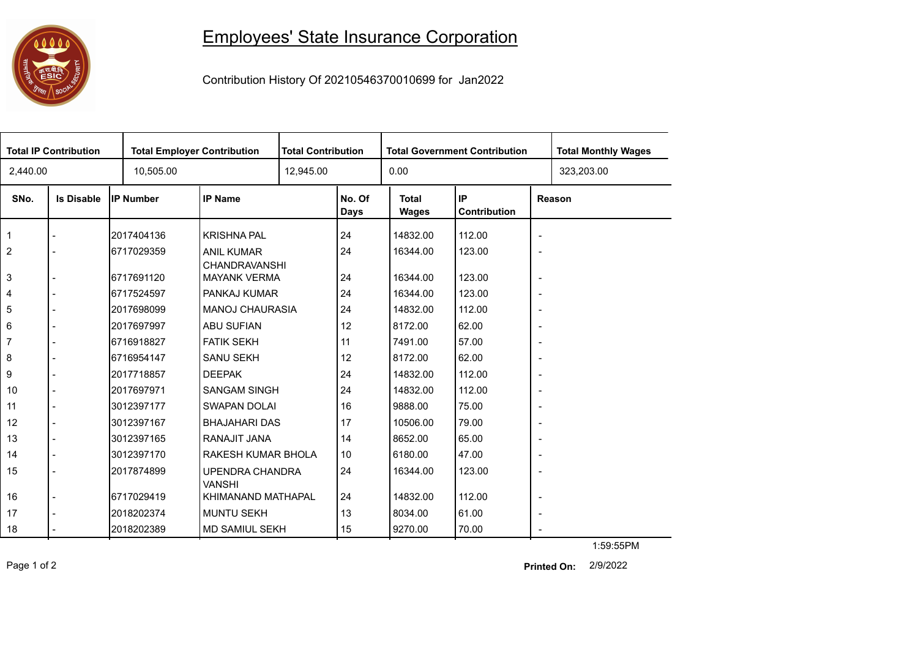## 

## Employees' State Insurance Corporation

Contribution History Of 20210546370010699 for Jan2022

| <b>Total IP Contribution</b> |                   |            | <b>Total Employer Contribution</b>      |  | <b>Total Contribution</b> |                              | <b>Total Government Contribution</b> | <b>Total Monthly Wages</b> |            |  |
|------------------------------|-------------------|------------|-----------------------------------------|--|---------------------------|------------------------------|--------------------------------------|----------------------------|------------|--|
| 2,440.00                     |                   | 10,505.00  |                                         |  | 12,945.00                 |                              |                                      |                            | 323,203.00 |  |
| SNo.                         | <b>Is Disable</b> | IP Number  | <b>IP Name</b>                          |  | No. Of<br><b>Days</b>     | <b>Total</b><br><b>Wages</b> | IP<br>Contribution                   | Reason                     |            |  |
| $\mathbf{1}$                 |                   | 2017404136 | <b>KRISHNA PAL</b>                      |  | 24                        | 14832.00                     | 112.00                               | $\blacksquare$             |            |  |
| 2                            |                   | 6717029359 | <b>ANIL KUMAR</b><br>CHANDRAVANSHI      |  | 24                        | 16344.00                     | 123.00                               | $\overline{\phantom{a}}$   |            |  |
| 3                            | $\blacksquare$    | 6717691120 | <b>MAYANK VERMA</b>                     |  | 24                        | 16344.00                     | 123.00                               | $\overline{\phantom{a}}$   |            |  |
| 4                            |                   | 6717524597 | <b>PANKAJ KUMAR</b>                     |  | 24                        | 16344.00                     | 123.00                               | $\overline{\phantom{a}}$   |            |  |
| 5                            |                   | 2017698099 | <b>MANOJ CHAURASIA</b>                  |  | 24                        | 14832.00                     | 112.00                               | $\overline{\phantom{a}}$   |            |  |
| 6                            |                   | 2017697997 | ABU SUFIAN                              |  | 12                        | 8172.00                      | 62.00                                | $\blacksquare$             |            |  |
| 7                            |                   | 6716918827 | <b>FATIK SEKH</b>                       |  | 11                        | 7491.00                      | 57.00                                | $\overline{\phantom{a}}$   |            |  |
| 8                            |                   | 6716954147 | <b>SANU SEKH</b>                        |  | 12                        | 8172.00                      | 62.00                                | $\overline{\phantom{a}}$   |            |  |
| 9                            |                   | 2017718857 | <b>DEEPAK</b>                           |  | 24                        | 14832.00                     | 112.00                               | $\overline{\phantom{a}}$   |            |  |
| 10                           |                   | 2017697971 | <b>SANGAM SINGH</b>                     |  | 24                        | 14832.00                     | 112.00                               | $\overline{\phantom{a}}$   |            |  |
| 11                           | $\blacksquare$    | 3012397177 | <b>SWAPAN DOLAI</b>                     |  | 16                        | 9888.00                      | 75.00                                | $\overline{\phantom{a}}$   |            |  |
| 12                           | $\blacksquare$    | 3012397167 | <b>BHAJAHARI DAS</b>                    |  | 17                        | 10506.00                     | 79.00                                | $\overline{\phantom{a}}$   |            |  |
| 13                           |                   | 3012397165 | RANAJIT JANA                            |  | 14                        | 8652.00                      | 65.00                                | $\overline{\phantom{a}}$   |            |  |
| 14                           | $\blacksquare$    | 3012397170 | RAKESH KUMAR BHOLA                      |  | 10                        | 6180.00                      | 47.00                                | $\blacksquare$             |            |  |
| 15                           |                   | 2017874899 | <b>UPENDRA CHANDRA</b><br><b>VANSHI</b> |  | 24                        | 16344.00                     | 123.00                               | $\blacksquare$             |            |  |
| 16                           |                   | 6717029419 | KHIMANAND MATHAPAL                      |  | 24                        | 14832.00                     | 112.00                               | $\overline{\phantom{a}}$   |            |  |
| 17                           |                   | 2018202374 | <b>MUNTU SEKH</b>                       |  | 13                        | 8034.00                      | 61.00                                | $\overline{\phantom{a}}$   |            |  |
| 18                           |                   | 2018202389 | <b>MD SAMIUL SEKH</b>                   |  | 15                        | 9270.00                      | 70.00                                | $\overline{\phantom{a}}$   |            |  |
|                              |                   |            |                                         |  |                           |                              |                                      |                            | 1:59:55PM  |  |

Page 1 of 2 2/9/2022 **Printed On:**